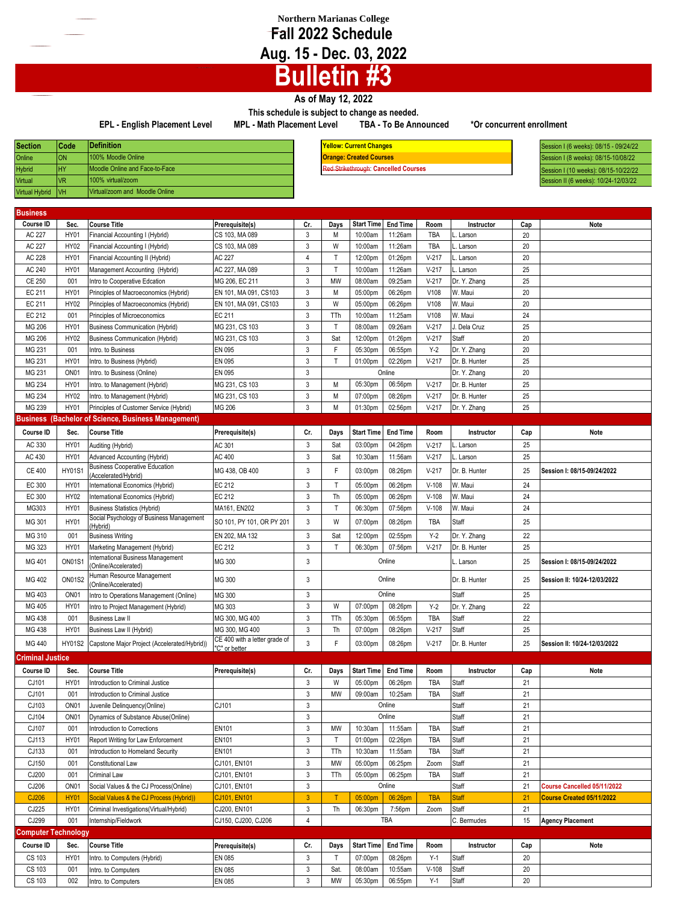## **Northern Marianas College Fall 2022 Schedule Aug. 15 - Dec. 03, 2022**

## **Bulletin #3**

## **As of May 12, 2022**

**This schedule is subject to change as needed. EPL - English Placement Level MPL - Math Placement Level TBA - To Be Announced \*Or concurrent enrollment**

| <b>Section</b>        | Code      | Definition                     |
|-----------------------|-----------|--------------------------------|
| Online                | ON        | 100% Moodle Online             |
| <b>Hybrid</b>         | <b>HY</b> | Moodle Online and Face-to-Face |
| <b>Virtual</b>        | <b>VR</b> | 100% virtual/zoom              |
| <b>Virtual Hybrid</b> | VH        | Virtual/zoom and Moodle Online |

**Definition Yellow: Current Changes** 100% Moodle Online **Orange: Created Courses** Moodle Online and Face-to-Face Red Strikethrough: **Cancelled Courses** **Section Code** Session I (6 weeks): 08/15 - 09/24/22 Session I (8 weeks): 08/15-10/08/22 Session I (10 weeks): 08/15-10/22/22 ession II (6 weeks): 10/24-12/03/22

| <b>Virtual Hybrid</b>        | VH                         | Virtual/zoom and Moodle Online                                                      |                                                 |                                           |              |                    |                          |                    |                       |           |                                                          |
|------------------------------|----------------------------|-------------------------------------------------------------------------------------|-------------------------------------------------|-------------------------------------------|--------------|--------------------|--------------------------|--------------------|-----------------------|-----------|----------------------------------------------------------|
|                              |                            |                                                                                     |                                                 |                                           |              |                    |                          |                    |                       |           |                                                          |
| <b>Business</b><br>Course ID | Sec.                       | <b>Course Title</b>                                                                 |                                                 | Cr.                                       |              | <b>Start Time</b>  | <b>End Time</b>          | Room               | Instructor            |           | Note                                                     |
| AC 227                       | <b>HY01</b>                | Financial Accounting I (Hybrid)                                                     | Prerequisite(s)<br>CS 103, MA 089               | 3                                         | Days<br>M    | 10:00am            | 11:26am                  | TBA                | Larson                | Cap<br>20 |                                                          |
| AC 227                       | <b>HY02</b>                | Financial Accounting I (Hybrid)                                                     | CS 103, MA 089                                  | $\mathbf{3}$                              | W            | 10:00am            | 11:26am                  | TBA                | Larson                | 20        |                                                          |
| AC 228                       | <b>HY01</b>                | Financial Accounting II (Hybrid)                                                    | AC 227                                          | $\overline{4}$                            | T            | 12:00pm            | 01:26pm                  | $V-217$            | . Larson              | 20        |                                                          |
| AC 240                       | <b>HY01</b>                | Management Accounting (Hybrid)                                                      | AC 227, MA 089                                  | 3                                         | $\mathsf{T}$ | 10:00am            | 11:26am                  | $V-217$            | Larson                | 25        |                                                          |
| <b>CE 250</b>                | 001                        | Intro to Cooperative Edcation                                                       | MG 206, EC 211                                  | 3                                         | MW           | 08:00am            | 09:25am                  | $V-217$            | Dr. Y. Zhang          | 25        |                                                          |
| EC 211                       | <b>HY01</b>                | Principles of Macroeconomics (Hybrid)                                               | EN 101, MA 091, CS103                           | 3                                         | M            | 05:00pm            | 06:26pm                  | V108               | W. Maui               | 20        |                                                          |
| EC 211                       | HY02                       | Principles of Macroeconomics (Hybrid)                                               | EN 101, MA 091, CS103                           | 3                                         | W            | 05:00pm            | 06:26pm                  | V108               | W. Maui               | 20        |                                                          |
| EC 212                       | 001                        | Principles of Microeconomics                                                        | EC 211                                          | 3                                         | TTh          | 10:00am            | 11:25am                  | V108               | W. Maui               | 24        |                                                          |
| MG 206                       | <b>HY01</b>                | <b>Business Communication (Hybrid)</b>                                              | MG 231, CS 103                                  | $\mathfrak{Z}$                            | $\mathsf{T}$ | 08:00am            | 09:26am                  | $V-217$            | J. Dela Cruz          | 25        |                                                          |
| MG 206                       | HY02                       | <b>Business Communication (Hybrid)</b>                                              | MG 231, CS 103                                  | 3                                         | Sat          | 12:00pm            | 01:26pm                  | $V-217$            | Staff                 | 20        |                                                          |
| MG 231                       | 001                        | Intro. to Business                                                                  | EN 095                                          | $\mathbf{3}$                              | F            | 05:30pm            | 06:55pm                  | $Y-2$              | Dr. Y. Zhang          | 20        |                                                          |
| MG 231                       | <b>HY01</b>                | Intro. to Business (Hybrid)                                                         | <b>EN 095</b>                                   | 3                                         | T            | 01:00pm            | 02:26pm                  | $V-217$            | Dr. B. Hunter         | 25        |                                                          |
| MG 231                       | ON <sub>01</sub>           | Intro. to Business (Online)                                                         | <b>EN 095</b>                                   | $\mathbf{3}$                              |              |                    | Online                   |                    | Dr. Y. Zhang          | 20        |                                                          |
| MG 234                       | <b>HY01</b>                | Intro. to Management (Hybrid)                                                       | MG 231, CS 103                                  | 3                                         | M            | 05:30pm            | 06:56pm                  | $V-217$            | Dr. B. Hunter         | 25        |                                                          |
| MG 234                       | <b>HY02</b>                | Intro. to Management (Hybrid)                                                       | MG 231, CS 103                                  | 3                                         | M            | 07:00pm            | 08:26pm                  | $V-217$            | Dr. B. Hunter         | 25        |                                                          |
| MG 239                       | <b>HY01</b>                | Principles of Customer Service (Hybrid)                                             | MG 206                                          | $\mathbf{3}$                              | M            | 01:30pm            | 02:56pm                  | $V-217$            | Dr. Y. Zhang          | 25        |                                                          |
|                              |                            | <b>Business (Bachelor of Science, Business Management)</b>                          |                                                 |                                           |              |                    |                          |                    |                       |           |                                                          |
| Course ID                    | Sec.                       | <b>Course Title</b>                                                                 | Prerequisite(s)                                 | Cr.                                       | Days         | <b>Start Time</b>  | <b>End Time</b>          | Room               | Instructor            | Cap       | Note                                                     |
| AC 330                       | <b>HY01</b>                | Auditing (Hybrid)                                                                   | AC 301                                          | 3                                         | Sat          | 03:00pm            | 04:26pm                  | $V-217$            | . Larson              | 25        |                                                          |
| AC 430                       | HY01                       | Advanced Accounting (Hybrid)                                                        | AC 400                                          | $\mathbf{3}$                              | Sat          | 10:30am            | 11:56am                  | $V-217$            | Larson                | 25        |                                                          |
| <b>CE 400</b>                | <b>HY01S1</b>              | <b>Business Cooperative Education</b><br>(Accelerated/Hybrid)                       | MG 438, OB 400                                  | 3                                         | F            | 03:00pm            | 08:26pm                  | $V-217$            | Dr. B. Hunter         | 25        | Session I: 08/15-09/24/2022                              |
| EC 300                       | HY01                       | International Economics (Hybrid)                                                    | EC 212                                          | $\mathbf{3}$                              | $\mathsf{T}$ | 05:00pm            | 06:26pm                  | $V-108$            | W. Maui               | 24        |                                                          |
| EC 300                       | HY02                       | International Economics (Hybrid)                                                    | <b>EC 212</b>                                   | $\mathbf{3}$                              | Th           | 05:00pm            | 06:26pm                  | $V-108$            | W. Maui               | 24        |                                                          |
| MG303                        | <b>HY01</b>                | <b>Business Statistics (Hybrid)</b>                                                 | MA161, EN202                                    | $\mathbf{3}$                              | T            | 06:30pm            | 07:56pm                  | $V-108$            | W. Maui               | 24        |                                                          |
| MG 301                       | <b>HY01</b>                | Social Psychology of Business Management<br>(Hybrid)                                | SO 101, PY 101, OR PY 201                       | $\mathbf{3}$                              | W            | 07:00pm            | 08:26pm                  | <b>TBA</b>         | Staff                 | 25        |                                                          |
| MG 310                       | 001                        | <b>Business Writing</b>                                                             | EN 202, MA 132                                  | $\mathbf{3}$                              | Sat          | 12:00pm            | 02:55pm                  | $Y-2$              | Dr. Y. Zhang          | 22        |                                                          |
| MG 323                       | <b>HY01</b>                | Marketing Management (Hybrid)                                                       | EC 212                                          | $\mathbf{3}$                              | $\mathsf{T}$ | 06:30pm            | 07:56pm                  | $V-217$            | Dr. B. Hunter         | 25        |                                                          |
| MG 401                       | <b>ON01S1</b>              | International Business Management<br>(Online/Accelerated)                           | MG 300                                          | 3                                         |              |                    | Online                   |                    | Larson                | 25        | Session I: 08/15-09/24/2022                              |
| MG 402                       | <b>ON01S2</b>              | Human Resource Management<br>(Online/Accelerated)                                   | MG 300                                          | 3                                         |              |                    | Online                   |                    | Dr. B. Hunter         | 25        | Session II: 10/24-12/03/2022                             |
| MG 403                       | ON <sub>01</sub>           | Intro to Operations Management (Online)                                             | MG 300                                          | 3                                         |              |                    | Online                   |                    | Staff                 | 25        |                                                          |
| MG 405                       | <b>HY01</b>                | Intro to Project Management (Hybrid)                                                | MG 303                                          | $\mathbf{3}$                              | W            | 07:00pm            | 08:26pm                  | $Y-2$              | Dr. Y. Zhang          | 22        |                                                          |
| MG 438                       | 001                        | <b>Business Law II</b>                                                              | MG 300, MG 400                                  | $\mathbf{3}$                              | TTh          | 05:30pm            | 06:55pm                  | TBA                | Staff                 | 22        |                                                          |
| MG 438                       | <b>HY01</b>                | Business Law II (Hybrid)                                                            | MG 300, MG 400<br>CE 400 with a letter grade of | $\mathsf 3$                               | Th           | 07:00pm            | 08:26pm                  | $V-217$            | Staff                 | 25        |                                                          |
| MG 440                       | HY01S2                     | Capstone Major Project (Accelerated/Hybrid))                                        | 'C" or better                                   | 3                                         | F            | 03:00pm            | 08:26pm                  | $V-217$            | Dr. B. Hunter         | 25        | Session II: 10/24-12/03/2022                             |
| <b>Criminal Justice</b>      |                            |                                                                                     |                                                 |                                           |              |                    |                          |                    |                       |           |                                                          |
| Course ID                    | Sec.                       | <b>Course Title</b>                                                                 | Prerequisite(s)                                 | Cr.                                       | Days         | <b>Start Time</b>  | <b>End Time</b>          | Room               | Instructor            | Cap       | <b>Note</b>                                              |
| CJ101                        | <b>HY01</b>                | Introduction to Criminal Justice                                                    |                                                 | $\mathfrak{Z}$                            | W            | 05:00pm            | 06:26pm                  | <b>TBA</b>         | <b>Staff</b>          | 21        |                                                          |
| CJ101                        | 001                        | Introduction to Criminal Justice                                                    |                                                 | $\mathbf{3}$                              | <b>MW</b>    | 09:00am            | 10:25am                  | <b>TBA</b>         | Staff                 | 21        |                                                          |
| CJ103                        | ON <sub>01</sub>           | Juvenile Delinquency(Online)                                                        | CJ101                                           | 3                                         |              |                    | Online                   |                    | Staff                 | 21        |                                                          |
| CJ104                        | ON <sub>01</sub>           | Dynamics of Substance Abuse(Online)                                                 |                                                 | $\ensuremath{\mathsf{3}}$                 |              |                    | Online                   |                    | Staff                 | 21        |                                                          |
| CJ107                        | 001                        | Introduction to Corrections                                                         | <b>EN101</b>                                    | $\sqrt{3}$                                | MW           | 10:30am            | 11:55am                  | TBA                | Staff                 | 21        |                                                          |
| CJ113                        | HY01                       | Report Writing for Law Enforcement                                                  | EN101                                           | $\ensuremath{\mathsf{3}}$                 | $\mathsf{T}$ | 01:00pm            | 02:26pm                  | <b>TBA</b>         | Staff                 | 21        |                                                          |
| CJ133                        | 001                        | Introduction to Homeland Security                                                   | <b>EN101</b>                                    | $\mathsf 3$                               | TTh          | 10:30am            | 11:55am                  | TBA                | Staff                 | 21        |                                                          |
| CJ150                        | 001                        | <b>Constitutional Law</b>                                                           | CJ101, EN101                                    | $\sqrt{3}$                                | MW           | 05:00pm            | 06:25pm                  | Zoom               | Staff                 | 21        |                                                          |
| CJ200                        | 001                        | Criminal Law                                                                        | CJ101, EN101                                    | $\ensuremath{\mathsf{3}}$<br>$\mathbf{3}$ | TTh          | 05:00pm            | 06:25pm<br>Online        | TBA                | Staff                 | 21        |                                                          |
| CJ206                        | ON <sub>01</sub>           | Social Values & the CJ Process(Online)                                              | CJ101, EN101                                    |                                           |              |                    |                          |                    | Staff                 | 21        | Course Cancelled 05/11/2022<br>Course Created 05/11/2022 |
| CJ206<br>CJ225               | <b>HY01</b><br><b>HY01</b> | Social Values & the CJ Process (Hybrid))<br>Criminal Investigations(Virtual/Hybrid) | CJ101, EN101<br>CJ200, EN101                    | $\mathbf{3}$<br>$\mathsf 3$               | T<br>Th      | 05:00pm<br>06:30pm | 06:26pm<br>7:56pm        | <b>TBA</b><br>Zoom | <b>Staff</b><br>Staff | 21<br>21  |                                                          |
| CJ299                        | 001                        | Internship/Fieldwork                                                                | CJ150, CJ200, CJ206                             | $\overline{4}$                            |              |                    | TBA                      |                    | C. Bermudes           | 15        | <b>Agency Placement</b>                                  |
| <b>Computer Technology</b>   |                            |                                                                                     |                                                 |                                           |              |                    |                          |                    |                       |           |                                                          |
| Course ID                    | Sec.                       | <b>Course Title</b>                                                                 | Prerequisite(s)                                 | Cr.                                       |              |                    | Days Start Time End Time | Room               | Instructor            | Cap       | Note                                                     |
|                              |                            |                                                                                     |                                                 |                                           |              |                    |                          |                    |                       |           |                                                          |

CS 103 HY01 Intro. to Computers (Hybrid) EN 085 3 T 07:00pm 08:26pm Y-1 Staff 20 CS 103 001 Intro. to Computers EN 085 EN 085 3 Sat. 08:00am 10:55am V-108 Staff 20 CS 103 002 Intro. to Computers EN 085 EN 085 3 MW 05:30pm 06:55pm Y-1 Staff 20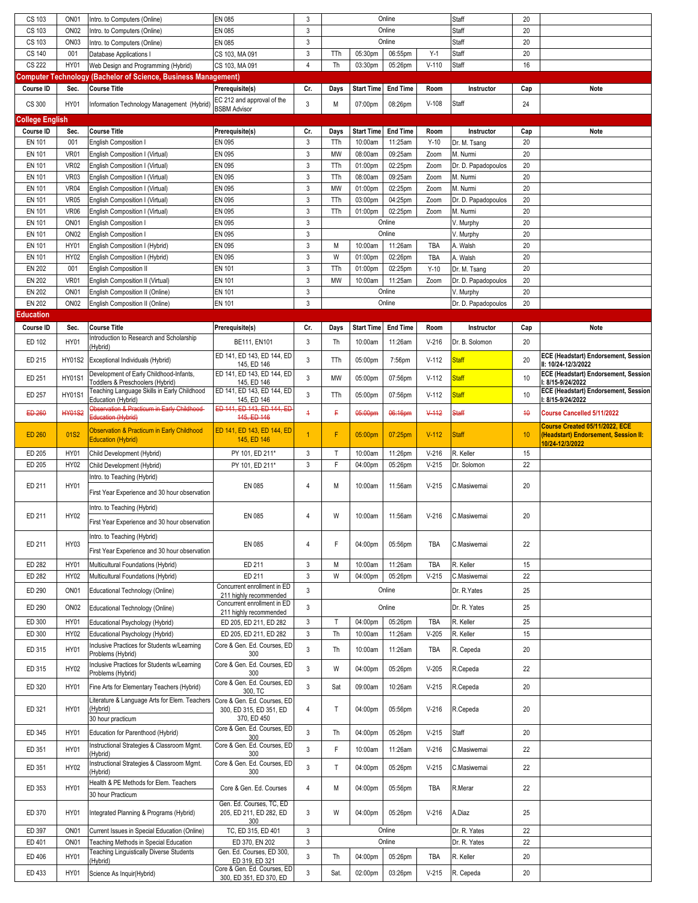| CS 103          | ON <sub>01</sub> | Intro. to Computers (Online)                                          | EN 085                                                 | 3              |              | Online<br>Staff   |                 |         |                     | 20  |                                                          |
|-----------------|------------------|-----------------------------------------------------------------------|--------------------------------------------------------|----------------|--------------|-------------------|-----------------|---------|---------------------|-----|----------------------------------------------------------|
| CS 103          | ON <sub>02</sub> | Intro. to Computers (Online)                                          | EN 085                                                 | 3              |              |                   | Online          |         | Staff               | 20  |                                                          |
| CS 103          | ON <sub>03</sub> | Intro. to Computers (Online)                                          | EN 085                                                 | $\mathbf{3}$   |              |                   | Online          |         | Staff               | 20  |                                                          |
| CS 140          | 001              | Database Applications I                                               | CS 103, MA 091                                         | $\mathbf{3}$   | TTh          | 05:30pm           | 06:55pm         | $Y-1$   | Staff               | 20  |                                                          |
|                 |                  |                                                                       |                                                        |                |              |                   |                 |         |                     |     |                                                          |
| <b>CS 222</b>   | HY01             | Web Design and Programming (Hybrid)                                   | CS 103, MA 091                                         | $\overline{4}$ | Th           | 03:30pm           | 05:26pm         | $V-110$ | Staff               | 16  |                                                          |
|                 |                  | <b>Computer Technology (Bachelor of Science, Business Management)</b> |                                                        |                |              |                   |                 |         |                     |     |                                                          |
| Course ID       | Sec.             | <b>Course Title</b>                                                   | Prerequisite(s)                                        | Cr.            | Days         | <b>Start Time</b> | <b>End Time</b> | Room    | Instructor          | Cap | Note                                                     |
| CS 300          | HY01             | Information Technology Management (Hybrid)                            | EC 212 and approval of the                             | 3              | М            | 07:00pm           | 08:26pm         | $V-108$ | Staff               | 24  |                                                          |
|                 |                  |                                                                       | <b>BSBM Advisor</b>                                    |                |              |                   |                 |         |                     |     |                                                          |
| College English |                  |                                                                       |                                                        |                |              |                   |                 |         |                     |     |                                                          |
| Course ID       | Sec.             | <b>Course Title</b>                                                   | Prerequisite(s)                                        | Cr.            | Days         | <b>Start Time</b> | <b>End Time</b> | Room    | Instructor          | Cap | Note                                                     |
| EN 101          | 001              | <b>English Composition I</b>                                          | EN 095                                                 | 3              | TTh          | 10:00am           | 11:25am         | $Y-10$  | Dr. M. Tsang        | 20  |                                                          |
| <b>EN 101</b>   | VR01             | English Composition I (Virtual)                                       | EN 095                                                 | $\mathbf{3}$   | MW           | 08:00am           | 09:25am         | Zoom    | M. Nurmi            | 20  |                                                          |
| <b>EN 101</b>   | <b>VR02</b>      | English Composition I (Virtual)                                       | EN 095                                                 | 3              | TTh          | 01:00pm           | 02:25pm         | Zoom    | Dr. D. Papadopoulos | 20  |                                                          |
| EN 101          | <b>VR03</b>      | English Composition I (Virtual)                                       | EN 095                                                 | $\mathbf{3}$   | TTh          | 08:00am           | 09:25am         | Zoom    | M. Nurmi            | 20  |                                                          |
| <b>EN 101</b>   | <b>VR04</b>      | English Composition I (Virtual)                                       | EN 095                                                 | 3              | MW           | 01:00pm           | 02:25pm         | Zoom    | M. Nurmi            | 20  |                                                          |
| EN 101          | <b>VR05</b>      | English Composition I (Virtual)                                       | EN 095                                                 | $\mathbf{3}$   | TTh          | 03:00pm           | 04:25pm         | Zoom    | Dr. D. Papadopoulos | 20  |                                                          |
| EN 101          | <b>VR06</b>      | English Composition I (Virtual)                                       | EN 095                                                 | 3              | TTh          | 01:00pm           | 02:25pm         | Zoom    | M. Nurmi            | 20  |                                                          |
| EN 101          | ON <sub>01</sub> | <b>English Composition I</b>                                          | EN 095                                                 | $\mathbf{3}$   |              |                   | Online          |         | V. Murphy           | 20  |                                                          |
| <b>EN 101</b>   | ON <sub>02</sub> | <b>English Composition I</b>                                          | EN 095                                                 | $\mathbf{3}$   |              |                   | Online          |         | V. Murphy           | 20  |                                                          |
| EN 101          | HY01             | English Composition I (Hybrid)                                        | EN 095                                                 | $\mathbf{3}$   | M            | 10:00am           | 11:26am         | TBA     | A. Walsh            | 20  |                                                          |
| EN 101          | HY02             | English Composition I (Hybrid)                                        | EN 095                                                 | $\mathbf{3}$   | W            | 01:00pm           | 02:26pm         | TBA     | A. Walsh            | 20  |                                                          |
| <b>EN 202</b>   | 001              | <b>English Composition II</b>                                         | EN 101                                                 | $\mathbf{3}$   | TTh          | 01:00pm           | 02:25pm         | $Y-10$  | Dr. M. Tsang        | 20  |                                                          |
| <b>EN 202</b>   | VR01             | English Composition II (Virtual)                                      | EN 101                                                 | $\mathbf{3}$   | MW           | 10:00am           | 11:25am         | Zoom    | Dr. D. Papadopoulos | 20  |                                                          |
|                 |                  |                                                                       |                                                        |                |              |                   | Online          |         |                     |     |                                                          |
| <b>EN 202</b>   | ON <sub>01</sub> | English Composition II (Online)                                       | EN 101                                                 | $\mathbf{3}$   |              |                   | Online          |         | V. Murphy           | 20  |                                                          |
| <b>EN 202</b>   | ON <sub>02</sub> | English Composition II (Online)                                       | <b>EN 101</b>                                          | $\mathbf{3}$   |              |                   |                 |         | Dr. D. Papadopoulos | 20  |                                                          |
| Education       |                  |                                                                       |                                                        |                |              |                   |                 |         |                     |     |                                                          |
| Course ID       | Sec.             | <b>Course Title</b>                                                   | Prerequisite(s)                                        | Cr.            | Days         | <b>Start Time</b> | <b>End Time</b> | Room    | Instructor          | Cap | Note                                                     |
| ED 102          | HY01             | Introduction to Research and Scholarship                              | BE111, EN101                                           | 3              | Th           | 10:00am           | 11:26am         | $V-216$ | Dr. B. Solomon      | 20  |                                                          |
|                 |                  | (Hybrid)                                                              | ED 141, ED 143, ED 144, ED                             |                |              |                   |                 |         |                     |     | ECE (Headstart) Endorsement, Session                     |
| ED 215          | <b>HY01S2</b>    | Exceptional Individuals (Hybrid)                                      | 145, ED 146                                            | $\mathbf{3}$   | TTh          | 05:00pm           | 7:56pm          | $V-112$ | <b>Staff</b>        | 20  | II: 10/24-12/3/2022                                      |
| ED 251          | <b>HY01S1</b>    | Development of Early Childhood-Infants,                               | ED 141, ED 143, ED 144, ED                             | $\mathbf{3}$   | MW           | 05:00pm           | 07:56pm         | $V-112$ | <b>Staff</b>        | 10  | ECE (Headstart) Endorsement, Session                     |
|                 |                  | Toddlers & Preschoolers (Hybrid)                                      | 145, ED 146                                            |                |              |                   |                 |         |                     |     | : 8/15-9/24/2022                                         |
| ED 257          | <b>HY01S1</b>    | Teaching Language Skills in Early Childhood<br>Education (Hybrid)     | ED 141, ED 143, ED 144, ED<br>145, ED 146              | $\mathbf{3}$   | TTh          | 05:00pm           | 07:56pm         | $V-112$ | <b>Staff</b>        | 10  | ECE (Headstart) Endorsement, Session<br>: 8/15-9/24/2022 |
|                 |                  | Observation & Practicum in Early Childhood-                           | ED 141, ED 143, ED 144, ED                             |                |              |                   |                 |         |                     |     |                                                          |
| ED 260          | <b>HY01S2</b>    | Education (Hybrid)                                                    | 445, ED 146                                            | $\overline{1}$ | F.           | 05:00pm           | 06:16pm         | $V$ 112 | Staff               | 40  | Course Cancelled 5/11/2022                               |
|                 |                  | <b>Observation &amp; Practicum in Early Childhood</b>                 | ED 141, ED 143, ED 144, ED                             |                |              |                   |                 |         |                     |     | Course Created 05/11/2022, ECE                           |
| <b>ED 260</b>   | 01S2             | <b>Education (Hybrid)</b>                                             | 145, ED 146                                            | 1              | F            | 05:00pm           | 07:25pm         | $V-112$ | <b>Staff</b>        | 10  | (Headstart) Endorsement, Session II:<br>10/24-12/3/2022  |
| ED 205          | <b>HY01</b>      | Child Development (Hybrid)                                            | PY 101, ED 211*                                        | 3              | $\mathsf{T}$ |                   |                 |         |                     |     |                                                          |
|                 |                  |                                                                       |                                                        |                |              | 10:00am           | 11:26pm         | $V-216$ | R. Keller           | 15  |                                                          |
| ED 205          | HY02             | Child Development (Hybrid)                                            | PY 101, ED 211*                                        | $\mathbf{3}$   | F            | 04:00pm           | 05:26pm         | $V-215$ | Dr. Solomon         | 22  |                                                          |
|                 |                  | Intro. to Teaching (Hybrid)                                           |                                                        |                |              |                   |                 |         |                     |     |                                                          |
| ED 211          | <b>HY01</b>      |                                                                       | EN 085                                                 | 4              | M            | 10:00am           | 11:56am         | $V-215$ | C.Masiwemai         | 20  |                                                          |
|                 |                  | First Year Experience and 30 hour observation                         |                                                        |                |              |                   |                 |         |                     |     |                                                          |
|                 |                  | Intro. to Teaching (Hybrid)                                           |                                                        |                |              |                   |                 |         |                     |     |                                                          |
| ED 211          | HY02             |                                                                       | EN 085                                                 | 4              | W            | 10:00am           | 11:56am         | $V-216$ | C.Masiwemai         | 20  |                                                          |
|                 |                  | First Year Experience and 30 hour observation                         |                                                        |                |              |                   |                 |         |                     |     |                                                          |
|                 |                  | Intro. to Teaching (Hybrid)                                           |                                                        |                |              |                   |                 |         |                     |     |                                                          |
| ED 211          | HY03             | First Year Experience and 30 hour observation                         | EN 085                                                 | $\overline{4}$ | F.           | 04:00pm           | 05:56pm         | TBA     | C.Masiwemai         | 22  |                                                          |
| ED 282          | <b>HY01</b>      | Multicultural Foundations (Hybrid)                                    | ED 211                                                 | 3              | M            | 10:00am           | 11:26am         | TBA     | R. Keller           | 15  |                                                          |
|                 |                  |                                                                       |                                                        |                | W            |                   |                 |         |                     |     |                                                          |
| ED 282          | HY02             | Multicultural Foundations (Hybrid)                                    | ED 211                                                 | 3              |              | 04:00pm           | 05:26pm         | $V-215$ | C.Masiwemai         | 22  |                                                          |
| ED 290          | ON <sub>01</sub> | Educational Technology (Online)                                       | Concurrent enrollment in ED<br>211 highly recommended  | 3              |              |                   | Online          |         | Dr. R. Yates        | 25  |                                                          |
| ED 290          | ON <sub>02</sub> | Educational Technology (Online)                                       | Concurrent enrollment in ED                            | 3              |              |                   | Online          |         | Dr. R. Yates        | 25  |                                                          |
|                 |                  |                                                                       | 211 highly recommended                                 |                |              |                   |                 |         |                     |     |                                                          |
| ED 300          | HY01             | Educational Psychology (Hybrid)                                       | ED 205, ED 211, ED 282                                 | 3              | Т            | 04:00pm           | 05:26pm         | TBA     | R. Keller           | 25  |                                                          |
| ED 300          | HY02             | Educational Psychology (Hybrid)                                       | ED 205, ED 211, ED 282                                 | 3              | Th           | 10:00am           | 11:26am         | $V-205$ | R. Keller           | 15  |                                                          |
| ED 315          | HY01             | Inclusive Practices for Students w/Learning                           | Core & Gen. Ed. Courses, ED                            | 3              | Th           | 10:00am           | 11:26am         | TBA     | R. Cepeda           | 20  |                                                          |
|                 |                  | Problems (Hybrid)                                                     | 300                                                    |                |              |                   |                 |         |                     |     |                                                          |
| ED 315          | HY02             | Inclusive Practices for Students w/Learning<br>Problems (Hybrid)      | Core & Gen. Ed. Courses, ED<br>300                     | 3              | W            | 04:00pm           | 05:26pm         | $V-205$ | R.Cepeda            | 22  |                                                          |
|                 |                  |                                                                       | Core & Gen. Ed. Courses, ED                            |                |              |                   |                 |         |                     |     |                                                          |
| ED 320          | HY01             | Fine Arts for Elementary Teachers (Hybrid)                            | 300, TC                                                | 3              | Sat          | 09:00am           | 10:26am         | $V-215$ | R.Cepeda            | 20  |                                                          |
|                 |                  | Literature & Language Arts for Elem. Teachers                         | Core & Gen. Ed. Courses, ED                            |                |              |                   |                 |         |                     |     |                                                          |
| ED 321          | HY01             | (Hybrid)                                                              | 300, ED 315, ED 351, ED                                | 4              | Т            | 04:00pm           | 05:56pm         | $V-216$ | R.Cepeda            | 20  |                                                          |
|                 |                  | 30 hour practicum                                                     | 370, ED 450                                            |                |              |                   |                 |         |                     |     |                                                          |
| ED 345          | HY01             | Education for Parenthood (Hybrid)                                     | Core & Gen. Ed. Courses, ED<br>300                     | $\mathbf{3}$   | Th           | 04:00pm           | 05:26pm         | $V-215$ | Staff               | 20  |                                                          |
| ED 351          | HY01             | Instructional Strategies & Classroom Mgmt.                            | Core & Gen. Ed. Courses, ED                            | 3              | F            | 10:00am           | 11:26am         | $V-216$ | C.Masiwemai         | 22  |                                                          |
|                 |                  | (Hybrid)                                                              | 300                                                    |                |              |                   |                 |         |                     |     |                                                          |
| ED 351          | HY02             | Instructional Strategies & Classroom Mgmt.<br>(Hybrid)                | Core & Gen. Ed. Courses, ED<br>300                     | $\mathbf{3}$   | Т            | 04:00pm           | 05:26pm         | $V-215$ | C.Masiwemai         | 22  |                                                          |
|                 |                  | Health & PE Methods for Elem. Teachers                                |                                                        |                |              |                   |                 |         |                     |     |                                                          |
| ED 353          | HY01             | 30 hour Practicum                                                     | Core & Gen. Ed. Courses                                | 4              | M            | 04:00pm           | 05:56pm         | TBA     | R.Merar             | 22  |                                                          |
|                 |                  |                                                                       | Gen. Ed. Courses, TC, ED                               |                |              |                   |                 |         |                     |     |                                                          |
| ED 370          | HY01             | Integrated Planning & Programs (Hybrid)                               | 205, ED 211, ED 282, ED                                | 3              | W            | 04:00pm           | 05:26pm         | $V-216$ | A.Diaz              | 25  |                                                          |
|                 |                  |                                                                       | 300                                                    |                |              |                   |                 |         |                     |     |                                                          |
| ED 397          | ON <sub>01</sub> | Current Issues in Special Education (Online)                          | TC, ED 315, ED 401                                     | 3              |              |                   | Online          |         | Dr. R. Yates        | 22  |                                                          |
| ED 401          | ON <sub>01</sub> | Teaching Methods in Special Education                                 | ED 370, EN 202                                         | $\mathbf{3}$   |              |                   | Online          |         | Dr. R. Yates        | 22  |                                                          |
| ED 406          | HY01             | <b>Teaching Linguistically Diverse Students</b><br>(Hybrid)           | Gen. Ed. Courses, ED 300,<br>ED 319, ED 321            | 3              | Th           | 04:00pm           | 05:26pm         | TBA     | R. Keller           | 20  |                                                          |
| ED 433          | HY01             | Science As Inquir(Hybrid)                                             | Core & Gen. Ed. Courses, ED<br>300, ED 351, ED 370, ED | 3              | Sat.         | 02:00pm           | 03:26pm         | $V-215$ | R. Cepeda           | 20  |                                                          |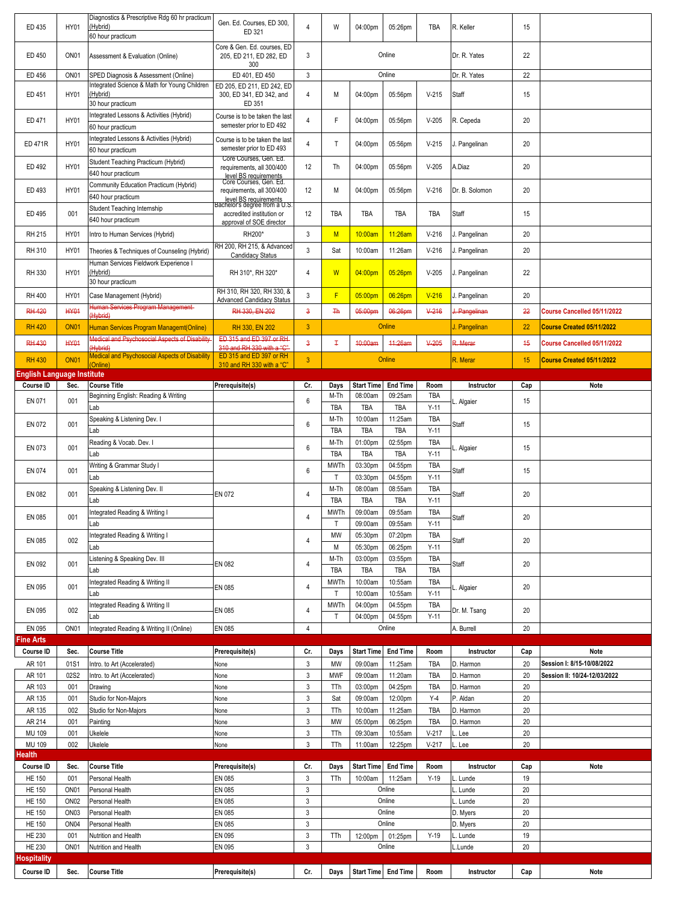| ED 435                             | <b>HY01</b>                          | Diagnostics & Prescriptive Rdg 60 hr practicum<br>(Hybrid)                                | Gen. Ed. Courses. ED 300.<br>ED 321                                                 | 4                         | W                    | 04:00pm                      | 05:26pm                    | TBA                  | R. Keller            | 15        |                              |
|------------------------------------|--------------------------------------|-------------------------------------------------------------------------------------------|-------------------------------------------------------------------------------------|---------------------------|----------------------|------------------------------|----------------------------|----------------------|----------------------|-----------|------------------------------|
|                                    |                                      | 60 hour practicum                                                                         | Core & Gen. Ed. courses, ED                                                         |                           |                      |                              |                            |                      |                      |           |                              |
| ED 450                             | ON <sub>01</sub>                     | Assessment & Evaluation (Online)                                                          | 205, ED 211, ED 282, ED<br>300                                                      | 3                         |                      |                              | Online                     |                      | Dr. R. Yates         | 22        |                              |
| ED 456                             | ON <sub>01</sub>                     | SPED Diagnosis & Assessment (Online)                                                      | ED 401, ED 450                                                                      | 3                         |                      |                              | Online                     |                      | Dr. R. Yates         | 22        |                              |
| ED 451                             | <b>HY01</b>                          | Integrated Science & Math for Young Children<br>(Hybrid)<br>30 hour practicum             | ED 205, ED 211, ED 242, ED<br>300, ED 341, ED 342, and<br>ED 351                    | $\overline{4}$            | М                    | 04:00pm                      | 05:56pm                    | $V-215$              | Staff                | 15        |                              |
| ED 471                             | <b>HY01</b>                          | Integrated Lessons & Activities (Hybrid)                                                  | Course is to be taken the last                                                      | $\overline{4}$            | F                    | 04:00pm                      | 05:56pm                    | $V-205$              | R. Cepeda            | 20        |                              |
| ED 471R                            | <b>HY01</b>                          | 60 hour practicum<br>Integrated Lessons & Activities (Hybrid)                             | semester prior to ED 492<br>Course is to be taken the last                          | $\overline{4}$            | T                    | 04:00pm                      | 05:56pm                    | $V-215$              | J. Pangelinan        | 20        |                              |
|                                    |                                      | 60 hour practicum<br>Student Teaching Practicum (Hybrid)                                  | semester prior to ED 493<br>Core Courses, Gen. Ed.                                  |                           |                      |                              |                            |                      |                      |           |                              |
| ED 492                             | <b>HY01</b>                          | 640 hour practicum                                                                        | requirements, all 300/400<br>level BS requirements<br>Core Courses, Gen. Ed.        | 12                        | Th                   | 04:00pm                      | 05:56pm                    | $V-205$              | A.Diaz               | 20        |                              |
| ED 493                             | <b>HY01</b>                          | Community Education Practicum (Hybrid)<br>640 hour practicum                              | requirements, all 300/400<br>level BS requirements<br>Bachelor's degree from a U.S. | 12                        | М                    | 04:00pm                      | 05:56pm                    | $V-216$              | Dr. B. Solomon       | 20        |                              |
| ED 495                             | 001                                  | Student Teaching Internship<br>640 hour practicum                                         | accredited institution or<br>approval of SOE director                               | 12                        | TBA                  | TBA                          | TBA                        | TBA                  | Staff                | 15        |                              |
| RH 215                             | <b>HY01</b>                          | Intro to Human Services (Hybrid)                                                          | RH200*                                                                              | 3                         | M                    | 10:00am                      | 11:26am                    | $V-216$              | J. Pangelinan        | 20        |                              |
| RH 310                             | <b>HY01</b>                          | Theories & Techniques of Counseling (Hybrid)                                              | RH 200, RH 215, & Advanced<br>Candidacy Status                                      | $\mathbf{3}$              | Sat                  | 10:00am                      | 11:26am                    | $V-216$              | J. Pangelinan        | 20        |                              |
| RH 330                             | <b>HY01</b>                          | Human Services Fieldwork Experience I<br>(Hybrid)                                         | RH 310*, RH 320*                                                                    | $\overline{4}$            | W                    | 04:00pm                      | 05:26pm                    | $V-205$              | J. Pangelinan        | 22        |                              |
| RH 400                             | <b>HY01</b>                          | 30 hour practicum<br>Case Management (Hybrid)                                             | RH 310, RH 320, RH 330, &                                                           | 3                         | F                    | 05:00pm                      | 06:26pm                    | $V-216$              | J. Pangelinan        | 20        |                              |
| <b>RH 420</b>                      | <b>HY01</b>                          | Human Services Program Management-                                                        | <b>Advanced Candidacy Status</b><br>RH 330, EN 202                                  |                           | <b>Th</b>            | 05:00pm                      | 06:26pm                    | $V-216$              | J. Pangelinan        |           | Course Cancelled 05/11/2022  |
|                                    |                                      | (Hybrid)                                                                                  |                                                                                     | 3                         |                      |                              |                            |                      |                      | 22        |                              |
| <b>RH 420</b>                      | <b>ON01</b>                          | Human Services Program Managemt(Online)<br>Medical and Psychosocial Aspects of Disability | RH 330, EN 202<br>ED 315 and ED 397 or RH                                           | $\mathbf{3}$              |                      |                              | Online                     |                      | J. Pangelinan        | 22        | Course Created 05/11/2022    |
| <b>RH 430</b>                      | <b>HY01</b>                          | (Hybrid)                                                                                  | 310 and RH 330 with a "C"                                                           | $\mathbf{3}$              | Ŧ                    | 40:00am                      | 11:26am                    | $V-205$              | R. Merar             | 45        | Course Cancelled 05/11/2022  |
| <b>RH 430</b>                      | <b>ON01</b>                          | <b>Medical and Psychosocial Aspects of Disability</b><br>(Online)                         | ED 315 and ED 397 or RH<br>310 and RH 330 with a "C"                                | $\mathbf{3}$              |                      |                              | Online                     |                      | R. Merar             | 15        | Course Created 05/11/2022    |
| English Language Institute         |                                      |                                                                                           |                                                                                     |                           |                      |                              |                            |                      |                      |           |                              |
| Course ID                          | Sec.                                 | <b>Course Title</b><br>Beginning English: Reading & Writing                               | Prerequisite(s)                                                                     | Cr.                       | Days<br>M-Th         | <b>Start Time</b><br>08:00am | <b>End Time</b><br>09:25am | Room<br><b>TBA</b>   | Instructor           | Cap       | Note                         |
| EN 071                             | 001                                  | Lab                                                                                       |                                                                                     | 6                         | TBA                  | TBA                          | <b>TBA</b>                 | $Y-11$               | Algaier              | 15        |                              |
| EN 072                             | 001                                  | Speaking & Listening Dev. I<br>Lab                                                        |                                                                                     | 6                         | M-Th<br><b>TBA</b>   | 10:00am<br>TBA               | 11:25am<br><b>TBA</b>      | <b>TBA</b><br>$Y-11$ | Staff                | 15        |                              |
| EN 073                             | 001                                  | Reading & Vocab. Dev. I<br>Lab                                                            |                                                                                     | $6\phantom{1}$            | M-Th<br><b>TBA</b>   | 01:00pm<br>TBA               | 02:55pm<br><b>TBA</b>      | <b>TBA</b><br>$Y-11$ | . Algaier            | 15        |                              |
| EN 074                             | 001                                  | Writing & Grammar Study I                                                                 |                                                                                     | 6                         | <b>MWTh</b>          | 03:30pm                      | 04:55pm                    | TBA                  | Staff                | 15        |                              |
|                                    |                                      | Lab                                                                                       |                                                                                     |                           | $\mathsf{T}$<br>M-Th | 03:30pm                      | 04:55pm                    | $Y-11$<br>TBA        |                      |           |                              |
| EN 082                             | 001                                  | Speaking & Listening Dev. II<br>Lab                                                       | EN 072                                                                              | $\overline{4}$            | TBA                  | 08:00am<br>TBA               | 08:55am<br><b>TBA</b>      | $Y-11$               | Staff                | 20        |                              |
|                                    |                                      |                                                                                           |                                                                                     |                           |                      |                              |                            |                      |                      |           |                              |
| EN 085                             | 001                                  | Integrated Reading & Writing I<br>.ab                                                     |                                                                                     | 4                         | <b>MWTh</b><br>T     | 09:00am<br>09:00am           | 09:55am<br>09:55am         | <b>TBA</b><br>$Y-11$ | Staff                | 20        |                              |
| EN 085                             | 002                                  | Integrated Reading & Writing I                                                            |                                                                                     | 4                         | MW                   | 05:30pm                      | 07:20pm                    | TBA                  | Staff                | 20        |                              |
|                                    |                                      | Lab<br>Listening & Speaking Dev. III                                                      |                                                                                     |                           | М<br>M-Th            | 05:30pm<br>03:00pm           | 06:25pm<br>03:55pm         | $Y-11$<br>TBA        |                      |           |                              |
| EN 092                             | 001                                  | Lab                                                                                       | EN 082                                                                              | 4                         | TBA                  | TBA                          | TBA                        | TBA                  | Staff                | 20        |                              |
| EN 095                             | 001                                  | Integrated Reading & Writing II                                                           | EN 085                                                                              | 4                         | MWTh                 | 10:00am                      | 10:55am                    | TBA                  | L. Algaier           | 20        |                              |
|                                    |                                      | Lab<br>Integrated Reading & Writing II                                                    |                                                                                     |                           | T<br>MWTh            | 10:00am<br>04:00pm           | 10:55am<br>04:55pm         | $Y-11$<br>TBA        |                      |           |                              |
| EN 095                             | 002                                  | Lab                                                                                       | EN 085                                                                              | 4                         | Т                    | 04:00pm                      | 04:55pm                    | $Y-11$               | Dr. M. Tsang         | 20        |                              |
| EN 095                             | ON <sub>01</sub>                     | Integrated Reading & Writing II (Online)                                                  | EN 085                                                                              | $\overline{4}$            |                      |                              | Online                     |                      | A. Burrell           | 20        |                              |
| ine Arts <sup>:</sup><br>Course ID | Sec.                                 | <b>Course Title</b>                                                                       | Prerequisite(s)                                                                     | Cr.                       | Days                 | <b>Start Time</b>            | <b>End Time</b>            | Room                 | Instructor           |           | Note                         |
| AR 101                             | 01S1                                 | Intro. to Art (Accelerated)                                                               | None                                                                                | 3                         | MW                   | 09:00am                      | 11:25am                    | TBA                  | D. Harmon            | Cap<br>20 | Session I: 8/15-10/08/2022   |
| AR 101                             | 02S2                                 | Intro. to Art (Accelerated)                                                               | Vone                                                                                | $\ensuremath{\mathsf{3}}$ | <b>MWF</b>           | 09:00am                      | 11:20am                    | <b>TBA</b>           | D. Harmon            | 20        | Session II: 10/24-12/03/2022 |
| AR 103                             | 001                                  | Drawing                                                                                   | None                                                                                | $\ensuremath{\mathsf{3}}$ | TTh                  | 03:00pm                      | 04:25pm                    | TBA                  | D. Harmon            | 20        |                              |
| AR 135                             | 001                                  | Studio for Non-Majors                                                                     | None                                                                                | 3                         | Sat                  | 09:00am                      | 12:00pm                    | $Y-4$                | P. Aldan             | 20        |                              |
| AR 135                             | 002                                  | Studio for Non-Majors                                                                     | None                                                                                | $\ensuremath{\mathsf{3}}$ | TTh                  | 10:00am                      | 11:25am                    | <b>TBA</b>           | D. Harmon            | 20        |                              |
| AR 214                             | 001                                  | Painting                                                                                  | None                                                                                | 3                         | MW                   | 05:00pm                      | 06:25pm                    | TBA                  | D. Harmon            | 20        |                              |
| MU 109<br>MU 109                   | 001<br>002                           | Ukelele<br>Ukelele                                                                        | None<br>None                                                                        | 3<br>3                    | TTh<br>TTh           | 09:30am<br>11:00am           | 10:55am<br>12:25pm         | $V-217$<br>$V-217$   | . Lee<br>L. Lee      | 20<br>20  |                              |
| lealth                             |                                      |                                                                                           |                                                                                     |                           |                      |                              |                            |                      |                      |           |                              |
| Course ID                          | Sec.                                 | <b>Course Title</b>                                                                       | Prerequisite(s)                                                                     | Cr.                       | Days                 | <b>Start Time</b>            | <b>End Time</b>            | Room                 | Instructor           | Cap       | Note                         |
| <b>HE 150</b>                      | 001                                  | Personal Health                                                                           | EN 085                                                                              | 3                         | TTh                  | 10:00am                      | 11:25am                    | $Y-19$               | L. Lunde             | 19        |                              |
| <b>HE 150</b>                      | ON <sub>01</sub>                     | Personal Health                                                                           | EN 085                                                                              | $\ensuremath{\mathsf{3}}$ |                      |                              | Online                     |                      | L. Lunde             | 20        |                              |
| <b>HE 150</b><br><b>HE 150</b>     | ON <sub>02</sub><br>ON <sub>03</sub> | Personal Health<br>Personal Health                                                        | EN 085<br>EN 085                                                                    | $\mathbf{3}$<br>3         |                      |                              | Online<br>Online           |                      | L. Lunde<br>D. Myers | 20<br>20  |                              |
| <b>HE 150</b>                      | ON <sub>04</sub>                     | Personal Health                                                                           | EN 085                                                                              | 3                         |                      |                              | Online                     |                      | D. Myers             | 20        |                              |
| <b>HE 230</b>                      | 001                                  | Nutrition and Health                                                                      | EN 095                                                                              | $\ensuremath{\mathsf{3}}$ | TTh                  | 12:00pm                      | 01:25pm                    | $Y-19$               | L. Lunde             | 19        |                              |
| <b>HE 230</b>                      | ON <sub>01</sub>                     | Nutrition and Health                                                                      | EN 095                                                                              | 3                         |                      |                              | Online                     |                      | L.Lunde              | 20        |                              |
| ospitality<br>Course ID            | Sec.                                 | <b>Course Title</b>                                                                       | Prerequisite(s)                                                                     | Cr.                       | Days                 | <b>Start Time</b>            | <b>End Time</b>            | Room                 | Instructor           | Cap       | Note                         |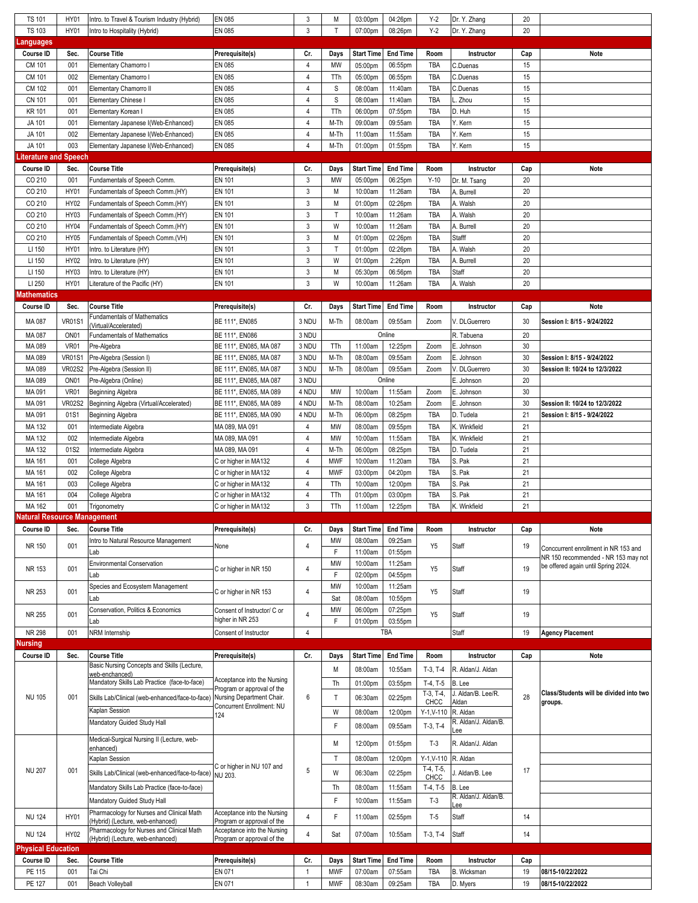|                                    | <b>HY01</b>        | Intro. to Travel & Tourism Industry (Hybrid)                                  | EN 085                                                    | 3              | Μ          | 03:00pm            | 04:26pm            | $Y-2$                     | Dr. Y. Zhang                 | 20        |                                                                                |
|------------------------------------|--------------------|-------------------------------------------------------------------------------|-----------------------------------------------------------|----------------|------------|--------------------|--------------------|---------------------------|------------------------------|-----------|--------------------------------------------------------------------------------|
| <b>TS 101</b><br><b>TS 103</b>     | <b>HY01</b>        | Intro to Hospitality (Hybrid)                                                 | EN 085                                                    | 3              | т          | 07:00pm            | 08:26pm            | $Y-2$                     | Dr. Y. Zhang                 | 20        |                                                                                |
| Languages                          |                    |                                                                               |                                                           |                |            |                    |                    |                           |                              |           |                                                                                |
| Course ID                          | Sec.               | <b>Course Title</b>                                                           | Prerequisite(s)                                           | Cr.            | Days       | <b>Start Time</b>  | <b>End Time</b>    | Room                      | Instructor                   | Cap       | Note                                                                           |
| CM 101                             | 001                | Elementary Chamorro I                                                         | EN 085                                                    | $\overline{4}$ | MW         | 05:00pm            | 06:55pm            | <b>TBA</b>                | C.Duenas                     | 15        |                                                                                |
| CM 101                             | 002                | Elementary Chamorro I                                                         | EN 085                                                    | $\overline{4}$ | TTh        | 05:00pm            | 06:55pm            | <b>TBA</b>                | C.Duenas                     | 15        |                                                                                |
| CM 102                             | 001                | Elementary Chamorro II                                                        | EN 085                                                    | $\overline{4}$ | S          | 08:00am            | 11:40am            | TBA                       | C.Duenas                     | 15        |                                                                                |
| <b>CN 101</b>                      | 001                | <b>Elementary Chinese I</b>                                                   | EN 085                                                    | $\overline{4}$ | S          | 08:00am            | 11:40am            | TBA                       | Zhou                         | 15        |                                                                                |
| <b>KR 101</b>                      | 001                | Elementary Korean I                                                           | EN 085                                                    | $\overline{4}$ | TTh        | 06:00pm            | 07:55pm            | TBA                       | D. Huh                       | 15        |                                                                                |
| JA 101                             | 001                | Elementary Japanese I(Web-Enhanced)                                           | EN 085                                                    | $\sqrt{4}$     | M-Th       | 09:00am            | 09:55am            | <b>TBA</b>                | Y. Kern                      | 15        |                                                                                |
| JA 101                             | 002                | Elementary Japanese I(Web-Enhanced)                                           | <b>EN 085</b>                                             | $\overline{4}$ | M-Th       | 11:00am            | 11:55am            | TBA                       | Y. Kern                      | 15        |                                                                                |
| JA 101                             | 003                | Elementary Japanese I(Web-Enhanced)                                           | EN 085                                                    | $\overline{4}$ | M-Th       | 01:00pm            | 01:55pm            | TBA                       | Y. Kern                      | 15        |                                                                                |
| iterature and Speech.              |                    |                                                                               |                                                           |                |            |                    |                    |                           |                              |           |                                                                                |
| Course ID                          | Sec.               | <b>Course Title</b>                                                           | Prerequisite(s)                                           | Cr.            |            | <b>Start Time</b>  | <b>End Time</b>    | Room                      | Instructor                   |           | Note                                                                           |
|                                    |                    |                                                                               |                                                           | 3              | Days<br>MW |                    |                    |                           |                              | Cap<br>20 |                                                                                |
| CO 210                             | 001                | Fundamentals of Speech Comm.                                                  | EN 101                                                    |                |            | 05:00pm            | 06:25pm            | $Y-10$                    | Dr. M. Tsang                 |           |                                                                                |
| CO 210                             | HY01               | Fundamentals of Speech Comm.(HY)                                              | EN 101                                                    | 3              | М          | 10:00am            | 11:26am            | TBA                       | A. Burrell                   | 20        |                                                                                |
| CO 210                             | HY02               | Fundamentals of Speech Comm.(HY)                                              | EN 101                                                    | 3              | М          | 01:00pm            | 02:26pm            | <b>TBA</b>                | A. Walsh                     | 20        |                                                                                |
| CO 210                             | HY03               | Fundamentals of Speech Comm.(HY)                                              | EN 101                                                    | 3              | Т          | 10:00am            | 11:26am            | TBA                       | A. Walsh                     | 20        |                                                                                |
| CO 210                             | HY04               | Fundamentals of Speech Comm.(HY)                                              | EN 101                                                    | 3              | W          | 10:00am            | 11:26am            | TBA                       | A. Burrell                   | 20        |                                                                                |
| CO 210                             | <b>HY05</b>        | Fundamentals of Speech Comm.(VH)                                              | EN 101                                                    | 3              | Μ          | 01:00pm            | 02:26pm            | <b>TBA</b>                | Stafff                       | 20        |                                                                                |
| LI 150                             | <b>HY01</b>        | Intro. to Literature (HY)                                                     | EN 101                                                    | 3              | Τ          | 01:00pm            | 02:26pm            | TBA                       | A. Walsh                     | 20        |                                                                                |
| LI 150                             | <b>HY02</b>        | Intro. to Literature (HY)                                                     | EN 101                                                    | 3              | W          | 01:00pm            | 2:26pm             | TBA                       | A. Burrell                   | 20        |                                                                                |
| LI 150                             | HY03               | Intro. to Literature (HY)                                                     | EN 101                                                    | 3              | Μ          | 05:30pm            | 06:56pm            | TBA                       | Staff                        | 20        |                                                                                |
| LI 250                             | HY01               | Literature of the Pacific (HY)                                                | EN 101                                                    | 3              | W          | 10:00am            | 11:26am            | TBA                       | A. Walsh                     | 20        |                                                                                |
| Mathematics                        |                    |                                                                               |                                                           |                |            |                    |                    |                           |                              |           |                                                                                |
| Course ID                          | Sec.               | <b>Course Title</b>                                                           | Prerequisite(s)                                           | Cr.            | Days       | <b>Start Time</b>  | <b>End Time</b>    | Room                      | Instructor                   | Cap       | <b>Note</b>                                                                    |
| MA 087                             | VR01S <sup>-</sup> | Fundamentals of Mathematics<br>(Virtual/Accelerated)                          | BE 111*, EN085                                            | 3 NDU          | M-Th       | 08:00am            | 09:55am            | Zoom                      | V. DLGuerrero                | 30        | Session I: 8/15 - 9/24/2022                                                    |
| MA 087                             | ON <sub>01</sub>   | <b>Fundamentals of Mathematics</b>                                            | BE 111*, EN086                                            | 3 NDU          |            |                    | Online             |                           | R. Tabuena                   | 20        |                                                                                |
| MA 089                             | <b>VR01</b>        | Pre-Algebra                                                                   | BE 111*, EN085, MA 087                                    | 3 NDU          | TTh        | 11:00am            | 12:25pm            | Zoom                      | E. Johnson                   | 30        |                                                                                |
| MA 089                             | <b>VR01S1</b>      | Pre-Algebra (Session I)                                                       | BE 111*, EN085, MA 087                                    | 3 NDU          | M-Th       | 08:00am            | 09:55am            | Zoom                      | E. Johnson                   | 30        | Session I: 8/15 - 9/24/2022                                                    |
| MA 089                             | <b>VR02S2</b>      | Pre-Algebra (Session II)                                                      | BE 111*, EN085, MA 087                                    | 3 NDU          | M-Th       | 08:00am            | 09:55am            | Zoom                      | V. DLGuerrero                | 30        | Session II: 10/24 to 12/3/2022                                                 |
| MA 089                             | ON <sub>01</sub>   | Pre-Algebra (Online)                                                          | BE 111*, EN085, MA 087                                    | 3 NDU          |            |                    | Online             |                           | E. Johnson                   | 20        |                                                                                |
| MA 091                             | VR01               | Beginning Algebra                                                             | BE 111*, EN085, MA 089                                    | 4 NDU          | MW         | 10:00am            | 11:55am            | Zoom                      | E. Johnson                   | 30        |                                                                                |
| MA 091                             | <b>VR02S2</b>      | Beginning Algebra (Virtual/Accelerated)                                       | BE 111*, EN085, MA 089                                    | 4 NDU          | M-Th       | 08:00am            | 10:25am            | Zoom                      | E. Johnson                   | 30        | Session II: 10/24 to 12/3/2022                                                 |
| MA 091                             | 01S1               | Beginning Algebra                                                             | BE 111*, EN085, MA 090                                    | 4 NDU          | M-Th       | 06:00pm            | 08:25pm            | TBA                       | D. Tudela                    | 21        | Session I: 8/15 - 9/24/2022                                                    |
| MA 132                             | 001                |                                                                               | MA 089, MA 091                                            | 4              | MW         | 08:00am            | 09:55pm            | TBA                       | K. Winkfield                 | 21        |                                                                                |
| MA 132                             | 002                | Intermediate Algebra                                                          |                                                           | $\overline{4}$ |            |                    |                    | TBA                       | K. Winkfield                 | 21        |                                                                                |
| MA 132                             | 01S2               | Intermediate Algebra                                                          | MA 089, MA 091                                            | 4              | MW<br>M-Th | 10:00am            | 11:55am            | TBA                       |                              | 21        |                                                                                |
|                                    |                    | Intermediate Algebra                                                          | MA 089, MA 091                                            |                |            | 06:00pm<br>10:00am | 08:25pm<br>11:20am |                           | D. Tudela<br>S. Pak          | 21        |                                                                                |
| MA 161<br>MA 161                   | 001                | College Algebra                                                               | C or higher in MA132                                      | 4              | <b>MWF</b> |                    |                    | TBA                       |                              |           |                                                                                |
|                                    |                    |                                                                               |                                                           |                |            |                    |                    |                           |                              |           |                                                                                |
|                                    | 002                | College Algebra                                                               | C or higher in MA132                                      | $\sqrt{4}$     | <b>MWF</b> | 03:00pm            | 04:20pm            | TBA                       | S. Pak                       | 21        |                                                                                |
| MA 161                             | 003                | College Algebra                                                               | C or higher in MA132                                      | 4              | TTh        | 10:00am            | 12:00pm            | TBA                       | S. Pak                       | 21        |                                                                                |
| MA 161                             | 004                | College Algebra                                                               | C or higher in MA132                                      | 4              | TTh        | 01:00pm            | 03:00pm            | TBA                       | S. Pak                       | 21        |                                                                                |
| MA 162                             | 001                | Trigonometry                                                                  | C or higher in MA132                                      | 3              | TTh        | 11:00am            | 12:25pm            | TBA                       | K. Winkfield                 | 21        |                                                                                |
| <b>Natural Resource Management</b> |                    |                                                                               |                                                           |                |            |                    |                    |                           |                              |           |                                                                                |
| Course ID                          | Sec.               | <b>Course Title</b>                                                           | Prerequisite(s)                                           | Cr.            | Days       | Start Time         | <b>End Time</b>    | Room                      | Instructor                   | Cap       | Note                                                                           |
| NR 150                             | 001                | Intro to Natural Resource Management                                          | None                                                      | 4              | MW         | 08:00am            | 09:25am            | Y5                        | <b>Staff</b>                 | 19        | Conccurrent enrollment in NR 153 and                                           |
|                                    |                    | Lab                                                                           |                                                           |                | F          | 11:00am            | 01:55pm            |                           |                              |           |                                                                                |
| NR 153                             | 001                | <b>Environmental Conservation</b>                                             | C or higher in NR 150                                     | $\sqrt{4}$     | MW         | 10:00am            | 11:25am            | Y5                        | Staff                        | 19        | be offered again until Spring 2024.                                            |
|                                    |                    | Lab                                                                           |                                                           |                | F          | 02:00pm            | 04:55pm            |                           |                              |           |                                                                                |
| NR 253                             | 001                | Species and Ecosystem Management                                              | C or higher in NR 153                                     | 4              | MW         | 10:00am            | 11:25am            | Y <sub>5</sub>            | Staff                        | 19        |                                                                                |
|                                    |                    | Lab                                                                           |                                                           |                | Sat        | 08:00am            | 10:55pm            |                           |                              |           |                                                                                |
| NR 255                             | 001                | Conservation, Politics & Economics                                            | Consent of Instructor/ C or                               | 4              | MW         | 06:00pm            | 07:25pm            | Y <sub>5</sub>            | <b>Staff</b>                 | 19        |                                                                                |
|                                    |                    | Lab                                                                           | higher in NR 253                                          |                | F          | 01:00pm            | 03:55pm            |                           |                              |           |                                                                                |
| NR 298                             | 001                | NRM Internship                                                                | Consent of Instructor                                     | $\overline{4}$ |            |                    | TBA                |                           | Staff                        | 19        | <b>Agency Placement</b>                                                        |
| Nursing                            |                    |                                                                               |                                                           |                |            |                    |                    |                           |                              |           |                                                                                |
| Course ID                          | Sec.               | <b>Course Title</b>                                                           | Prerequisite(s)                                           | Cr.            | Days       | <b>Start Time</b>  | <b>End Time</b>    | Room                      | Instructor                   | Cap       | Note                                                                           |
|                                    |                    | Basic Nursing Concepts and Skills (Lecture,                                   |                                                           |                | M          | 08:00am            | 10:55am            | $T-3, T-4$                | R. Aldan/J. Aldan            |           |                                                                                |
|                                    |                    | web-enchanced)<br>Mandatory Skills Lab Practice (face-to-face)                | Acceptance into the Nursing                               |                |            |                    |                    |                           |                              |           |                                                                                |
|                                    |                    |                                                                               | Program or approval of the                                |                | Th         | 01:00pm            | 03:55pm            | $T-4, T-5$<br>$T-3, T-4,$ | B. Lee<br>J. Aldan/B. Lee/R. |           |                                                                                |
| <b>NU 105</b>                      | 001                | Skills Lab/Clinical (web-enhanced/face-to-face)                               | Nursing Department Chair.                                 | 6              | T.         | 06:30am            | 02:25pm            | CHCC                      | Aldan                        | 28        | groups.                                                                        |
|                                    |                    | Kaplan Session                                                                | Concurrent Enrollment: NU<br>124                          |                | W          | 08:00am            | 12:00pm            | $Y-1, V-110$              | R. Aldan                     |           |                                                                                |
|                                    |                    | Mandatory Guided Study Hall                                                   |                                                           |                | F          | 08:00am            | 09:55am            | $T-3, T-4$                | R. Aldan/J. Aldan/B.         |           |                                                                                |
|                                    |                    |                                                                               |                                                           |                |            |                    |                    |                           | ee                           |           | NR 150 recommended - NR 153 may not<br>Class/Students will be divided into two |
|                                    |                    | Medical-Surgical Nursing II (Lecture, web-<br>enhanced)                       |                                                           |                | M          | 12:00pm            | 01:55pm            | $T-3$                     | R. Aldan/J. Aldan            |           |                                                                                |
|                                    |                    | Kaplan Session                                                                |                                                           |                | T          | 08:00am            | 12:00pm            | $Y-1, V-110$              | R. Aldan                     |           |                                                                                |
| <b>NU 207</b>                      | 001                |                                                                               | C or higher in NU 107 and                                 | 5              |            |                    |                    | T-4, T-5,                 |                              | 17        |                                                                                |
|                                    |                    | Skills Lab/Clinical (web-enhanced/face-to-face)                               | NU 203.                                                   |                | W          | 06:30am            | 02:25pm            | CHCC                      | Aldan/B. Lee                 |           |                                                                                |
|                                    |                    | Mandatory Skills Lab Practice (face-to-face)                                  |                                                           |                | Th         | 08:00am            | 11:55am            | $T-4, T-5$                | B. Lee                       |           |                                                                                |
|                                    |                    | Mandatory Guided Study Hall                                                   |                                                           |                | F          | 10:00am            | 11:55am            | $T-3$                     | R. Aldan/J. Aldan/B.<br>ee   |           |                                                                                |
| <b>NU 124</b>                      | <b>HY01</b>        | Pharmacology for Nurses and Clinical Math                                     | Acceptance into the Nursing                               | $\overline{4}$ | F          | 11:00am            | 02:55pm            | $T-5$                     | <b>Staff</b>                 | 14        |                                                                                |
|                                    |                    | (Hybrid) (Lecture, web-enhanced)                                              | Program or approval of the                                |                |            |                    |                    |                           |                              |           |                                                                                |
| <b>NU 124</b>                      | <b>HY02</b>        | Pharmacology for Nurses and Clinical Math<br>(Hybrid) (Lecture, web-enhanced) | Acceptance into the Nursing<br>Program or approval of the | $\overline{4}$ | Sat        | 07:00am            | 10:55am            | $T-3, T-4$                | <b>Staff</b>                 | 14        |                                                                                |
| <b>Physical Education</b>          |                    |                                                                               |                                                           |                |            |                    |                    |                           |                              |           |                                                                                |
| Course ID                          | Sec.               | <b>Course Title</b>                                                           | Prerequisite(s)                                           | Cr.            | Days       | <b>Start Time</b>  | <b>End Time</b>    | Room                      | Instructor                   | Cap       |                                                                                |
| PE 115                             | 001                | Tai Chi                                                                       | EN 071                                                    | $\mathbf{1}$   | <b>MWF</b> | 07:00am            | 07:55am            | TBA                       | B. Wicksman                  | 19        | 08/15-10/22/2022                                                               |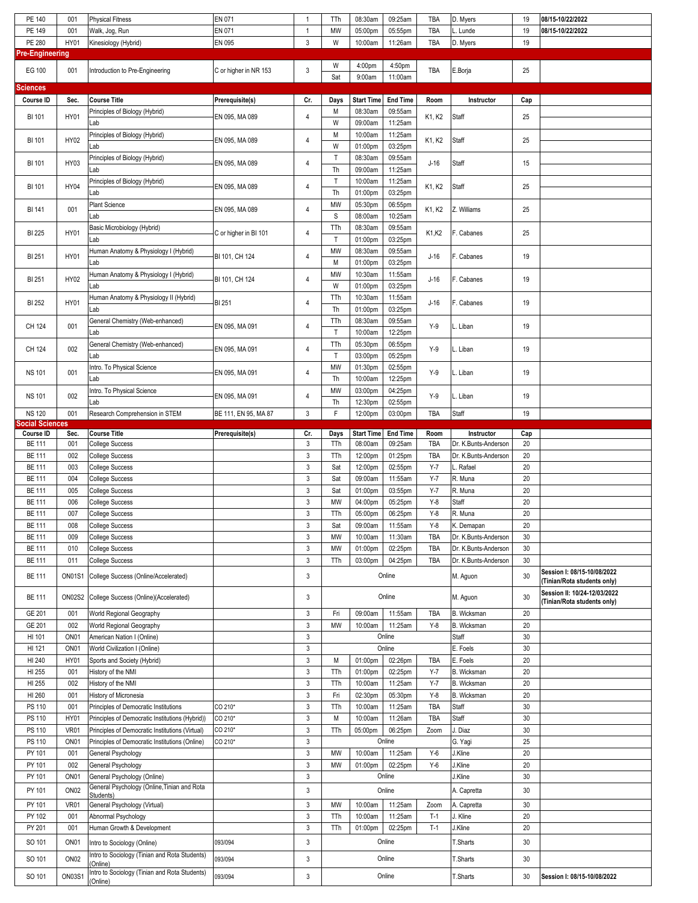| PE 140                                  | 001              | <b>Physical Fitness</b>                                   | EN 071                | 1                         | TTh          | 08:30am           | 09:25am         | TBA        | D. Myers             | 19  | 08/15-10/22/2022             |
|-----------------------------------------|------------------|-----------------------------------------------------------|-----------------------|---------------------------|--------------|-------------------|-----------------|------------|----------------------|-----|------------------------------|
|                                         |                  |                                                           |                       |                           |              |                   |                 |            |                      |     |                              |
| PE 149                                  | 001              | Walk, Jog, Run                                            | EN 071                | $\mathbf{1}$              | MW           | 05:00pm           | 05:55pm         | <b>TBA</b> | . Lunde              | 19  | 08/15-10/22/2022             |
| PE 280                                  | HY01             | Kinesiology (Hybrid)                                      | EN 095                | 3                         | W            | 10:00am           | 11:26am         | <b>TBA</b> | D. Myers             | 19  |                              |
| <b>Pre-Engineering</b>                  |                  |                                                           |                       |                           |              |                   |                 |            |                      |     |                              |
| EG 100                                  | 001              | Introduction to Pre-Engineering                           | C or higher in NR 153 | 3                         | W            | 4:00pm            | 4:50pm          | TBA        | E.Borja              | 25  |                              |
|                                         |                  |                                                           |                       |                           | Sat          | 9:00am            | 11:00am         |            |                      |     |                              |
| Sciences                                |                  |                                                           |                       |                           |              |                   |                 |            |                      |     |                              |
| Course ID                               | Sec.             | <b>Course Title</b>                                       | Prerequisite(s)       | Cr.                       | Days         | <b>Start Time</b> | <b>End Time</b> | Room       | Instructor           | Cap |                              |
|                                         |                  | Principles of Biology (Hybrid)                            |                       |                           | M            | 08:30am           | 09:55am         |            |                      |     |                              |
| <b>BI 101</b>                           | <b>HY01</b>      |                                                           | EN 095, MA 089        | 4                         |              |                   |                 | K1, K2     | Staff                | 25  |                              |
|                                         |                  | Lab                                                       |                       |                           | W            | 09:00am           | 11:25am         |            |                      |     |                              |
| <b>BI 101</b>                           | HY02             | Principles of Biology (Hybrid)                            | EN 095, MA 089        | 4                         | M            | 10:00am           | 11:25am         | K1, K2     | Staff                | 25  |                              |
|                                         |                  | Lab                                                       |                       |                           | W            | 01:00pm           | 03:25pm         |            |                      |     |                              |
| BI 101                                  | HY03             | Principles of Biology (Hybrid)                            | EN 095, MA 089        | 4                         | $\mathsf T$  | 08:30am           | 09:55am         | $J-16$     | Staff                | 15  |                              |
|                                         |                  | Lab                                                       |                       |                           | Th           | 09:00am           | 11:25am         |            |                      |     |                              |
|                                         |                  | Principles of Biology (Hybrid)                            |                       |                           | T            | 10:00am           | 11:25am         |            |                      |     |                              |
| <b>BI 101</b>                           | <b>HY04</b>      | Lab                                                       | EN 095, MA 089        | 4                         | Th           | 01:00pm           | 03:25pm         | K1, K2     | Staff                | 25  |                              |
|                                         |                  | <b>Plant Science</b>                                      |                       |                           | MW           | 05:30pm           | 06:55pm         |            |                      |     |                              |
| BI 141                                  | 001              | Lab                                                       | EN 095, MA 089        | 4                         | $\mathbb S$  |                   | 10:25am         | K1, K2     | Z. Williams          | 25  |                              |
|                                         |                  |                                                           |                       |                           |              | 08:00am           |                 |            |                      |     |                              |
| BI 225                                  | <b>HY01</b>      | Basic Microbiology (Hybrid)                               | C or higher in BI 101 | 4                         | TTh          | 08:30am           | 09:55am         | K1,K2      | F. Cabanes           | 25  |                              |
|                                         |                  | Lab                                                       |                       |                           | $\top$       | 01:00pm           | 03:25pm         |            |                      |     |                              |
| BI 251                                  | HY01             | Human Anatomy & Physiology I (Hybrid)                     | BI 101, CH 124        | 4                         | MW           | 08:30am           | 09:55am         | $J-16$     | F. Cabanes           | 19  |                              |
|                                         |                  | Lab                                                       |                       |                           | M            | 01:00pm           | 03:25pm         |            |                      |     |                              |
|                                         |                  | Human Anatomy & Physiology I (Hybrid)                     |                       |                           | MW           | 10:30am           | 11:55am         |            |                      |     |                              |
| BI 251                                  | HY02             | Lab                                                       | BI 101, CH 124        | 4                         | W            | 01:00pm           | 03:25pm         | $J-16$     | F. Cabanes           | 19  |                              |
|                                         |                  | Human Anatomy & Physiology II (Hybrid)                    |                       |                           | TTh          | 10:30am           | 11:55am         |            |                      |     |                              |
| BI 252                                  | HY01             | Lab                                                       | <b>BI 251</b>         | 4                         | Th           | 01:00pm           | 03:25pm         | $J-16$     | F. Cabanes           | 19  |                              |
|                                         |                  |                                                           |                       |                           |              |                   |                 |            |                      |     |                              |
| CH 124                                  | 001              | General Chemistry (Web-enhanced)                          | EN 095, MA 091        | 4                         | TTh          | 08:30am           | 09:55am         | $Y-9$      | L. Liban             | 19  |                              |
|                                         |                  | Lab                                                       |                       |                           | $\mathsf T$  | 10:00am           | 12:25pm         |            |                      |     |                              |
| CH 124                                  | 002              | General Chemistry (Web-enhanced)                          | EN 095, MA 091        | 4                         | TTh          | 05:30pm           | 06:55pm         | $Y-9$      | L. Liban             | 19  |                              |
|                                         |                  | Lab                                                       |                       |                           | $\mathsf{T}$ | 03:00pm           | 05:25pm         |            |                      |     |                              |
|                                         |                  | Intro. To Physical Science                                |                       |                           | MW           | 01:30pm           | 02:55pm         |            |                      |     |                              |
| <b>NS 101</b>                           | 001              | Lab                                                       | EN 095, MA 091        | 4                         | Th           | 10:00am           | 12:25pm         | $Y-9$      | L. Liban             | 19  |                              |
|                                         |                  | Intro. To Physical Science                                |                       |                           | MW           | 03:00pm           | 04:25pm         |            |                      |     |                              |
| <b>NS 101</b>                           | 002              | Lab                                                       | EN 095, MA 091        | 4                         | Th           | 12:30pm           | 02:55pm         | $Y-9$      | L. Liban             | 19  |                              |
|                                         | 001              |                                                           |                       | $\mathbf{3}$              | F            |                   |                 |            |                      |     |                              |
| <b>NS 120</b><br><b>Social Sciences</b> |                  | Research Comprehension in STEM                            | BE 111, EN 95, MA 87  |                           |              | 12:00pm           | 03:00pm         | <b>TBA</b> | Staff                | 19  |                              |
| Course ID                               | Sec.             | <b>Course Title</b>                                       | Prerequisite(s)       | Cr.                       | Days         | <b>Start Time</b> | <b>End Time</b> | Room       | Instructor           | Cap |                              |
| <b>BE 111</b>                           | 001              | <b>College Success</b>                                    |                       | 3                         | TTh          |                   |                 | TBA        | Dr. K.Bunts-Anderson | 20  |                              |
|                                         |                  |                                                           |                       |                           |              |                   |                 |            |                      |     |                              |
|                                         |                  |                                                           |                       |                           |              | 08:00am           | 09:25am         |            |                      |     |                              |
| <b>BE 111</b>                           | 002              | <b>College Success</b>                                    |                       | $\mathsf 3$               | TTh          | 12:00pm           | 01:25pm         | TBA        | Dr. K.Bunts-Anderson | 20  |                              |
| <b>BE 111</b>                           | 003              | <b>College Success</b>                                    |                       | $\ensuremath{\mathsf{3}}$ | Sat          | 12:00pm           | 02:55pm         | $Y-7$      | . Rafael             | 20  |                              |
| <b>BE 111</b>                           | 004              | <b>College Success</b>                                    |                       | $\mathsf 3$               | Sat          | 09:00am           | 11:55am         | $Y-7$      | R. Muna              | 20  |                              |
| <b>BE 111</b>                           | 005              | <b>College Success</b>                                    |                       | $\ensuremath{\mathsf{3}}$ | Sat          | 01:00pm           | 03:55pm         | $Y-7$      | R. Muna              | 20  |                              |
| <b>BE 111</b>                           | 006              | <b>College Success</b>                                    |                       | 3                         | <b>MW</b>    | 04:00pm           | 05:25pm         | $Y-8$      | Staff                | 20  |                              |
| <b>BE 111</b>                           | 007              |                                                           |                       | $\mathsf 3$               | TTh          |                   | 06:25pm         | $Y-8$      | R. Muna              | 20  |                              |
|                                         | 008              | <b>College Success</b>                                    |                       |                           |              | 05:00pm           |                 |            |                      | 20  |                              |
| <b>BE 111</b>                           |                  | <b>College Success</b>                                    |                       | 3                         | Sat          | 09:00am           | 11:55am         | Y-8        | K. Demapan           |     |                              |
| <b>BE 111</b>                           | 009              | <b>College Success</b>                                    |                       | $\mathbf{3}$              | MW           | 10:00am           | 11:30am         | <b>TBA</b> | Dr. K.Bunts-Anderson | 30  |                              |
| <b>BE 111</b>                           | 010              | <b>College Success</b>                                    |                       | $\mathbf{3}$              | MW           | 01:00pm           | 02:25pm         | TBA        | Dr. K.Bunts-Anderson | 30  |                              |
| <b>BE 111</b>                           | 011              | <b>College Success</b>                                    |                       | $\ensuremath{\mathsf{3}}$ | TTh          | 03:00pm           | 04:25pm         | TBA        | Dr. K.Bunts-Anderson | 30  |                              |
| <b>BE 111</b>                           | <b>ON01S1</b>    | College Success (Online/Accelerated)                      |                       | 3                         |              |                   | Online          |            | M. Aguon             | 30  | Session I: 08/15-10/08/2022  |
|                                         |                  |                                                           |                       |                           |              |                   |                 |            |                      |     | (Tinian/Rota students only)  |
| <b>BE 111</b>                           | <b>ON02S2</b>    | College Success (Online)(Accelerated)                     |                       | 3                         |              |                   | Online          |            | M. Aguon             | 30  | Session II: 10/24-12/03/2022 |
|                                         |                  |                                                           |                       |                           |              |                   |                 |            |                      |     | (Tinian/Rota students only)  |
| GE 201                                  | 001              | World Regional Geography                                  |                       | $\mathbf{3}$              | Fri          | 09:00am           | 11:55am         | TBA        | <b>B.</b> Wicksman   | 20  |                              |
| GE 201                                  | 002              | World Regional Geography                                  |                       | $\mathbf{3}$              | MW           | 10:00am           | 11:25am         | $Y-8$      | B. Wicksman          | 20  |                              |
| HI 101                                  | ON <sub>01</sub> | American Nation I (Online)                                |                       | $\ensuremath{\mathsf{3}}$ |              |                   | Online          |            | Staff                | 30  |                              |
| HI 121                                  | ON <sub>01</sub> | World Civilization I (Online)                             |                       | $\mathsf 3$               |              |                   | Online          |            | E. Foels             | 30  |                              |
| HI 240                                  | <b>HY01</b>      | Sports and Society (Hybrid)                               |                       | $\mathbf{3}$              | М            | 01:00pm           | 02:26pm         | TBA        | E. Foels             | 20  |                              |
| HI 255                                  | 001              | History of the NMI                                        |                       | $\mathbf{3}$              | TTh          | 01:00pm           | 02:25pm         | $Y - 7$    | B. Wicksman          | 20  |                              |
|                                         | 002              |                                                           |                       |                           |              |                   |                 | $Y - 7$    |                      | 20  |                              |
| HI 255                                  |                  | History of the NMI                                        |                       | $\mathsf 3$               | TTh          | 10:00am           | 11:25am         |            | B. Wicksman          |     |                              |
| HI 260                                  | 001              | History of Micronesia                                     |                       | $\mathbf{3}$              | Fri          | 02:30pm           | 05:30pm         | $Y-8$      | B. Wicksman          | 20  |                              |
| PS 110                                  | 001              | Principles of Democratic Institutions                     | CO 210*               | $\mathsf 3$               | TTh          | 10:00am           | 11:25am         | TBA        | Staff                | 30  |                              |
| PS 110                                  | HY01             | Principles of Democratic Institutions (Hybrid))           | CO 210*               | $\mathbf{3}$              | М            | 10:00am           | 11:26am         | <b>TBA</b> | Staff                | 30  |                              |
| PS 110                                  | <b>VR01</b>      | Principles of Democratic Institutions (Virtual)           | CO 210*               | $\mathbf{3}$              | TTh          | 05:00pm           | 06:25pm         | Zoom       | J. Diaz              | 30  |                              |
| PS 110                                  | ON <sub>01</sub> | Principles of Democratic Institutions (Online)            | CO 210*               | $\mathbf{3}$              |              |                   | Online          |            | G. Yagi              | 25  |                              |
| PY 101                                  | 001              | General Psychology                                        |                       | $\ensuremath{\mathsf{3}}$ | MW           | 10:00am           | 11:25am         | $Y-6$      | J.Kline              | 20  |                              |
| PY 101                                  | 002              | General Psychology                                        |                       | $\mathsf 3$               | MW           | 01:00pm           | 02:25pm         | $Y-6$      | J.Kline              | 20  |                              |
| PY 101                                  | ON <sub>01</sub> | General Psychology (Online)                               |                       | $\mathbf{3}$              |              |                   | Online          |            | J.Kline              | 30  |                              |
|                                         |                  | General Psychology (Online, Tinian and Rota               |                       |                           |              |                   |                 |            |                      |     |                              |
| PY 101                                  | ON <sub>02</sub> | Students)                                                 |                       | 3                         |              |                   | Online          |            | A. Capretta          | 30  |                              |
| PY 101                                  | <b>VR01</b>      | General Psychology (Virtual)                              |                       | 3                         | MW           | 10:00am           | 11:25am         | Zoom       | A. Capretta          | 30  |                              |
| PY 102                                  | 001              | Abnormal Psychology                                       |                       | $\mathsf 3$               | TTh          | 10:00am           | 11:25am         | $T-1$      | J. Kline             | 20  |                              |
| PY 201                                  | 001              | Human Growth & Development                                |                       | $\mathsf 3$               | TTh          | 01:00pm           | 02:25pm         | $T-1$      | J.Kline              | 20  |                              |
|                                         |                  |                                                           |                       |                           |              |                   |                 |            |                      |     |                              |
| SO 101                                  | ON <sub>01</sub> | Intro to Sociology (Online)                               | 093/094               | 3                         |              |                   | Online          |            | T.Sharts             | 30  |                              |
| SO 101                                  | ON <sub>02</sub> | Intro to Sociology (Tinian and Rota Students)             | 093/094               | $\mathbf{3}$              |              |                   | Online          |            | T.Sharts             | 30  |                              |
|                                         |                  | Online)                                                   |                       |                           |              |                   |                 |            |                      |     |                              |
| SO 101                                  | <b>ON03S1</b>    | Intro to Sociology (Tinian and Rota Students)<br>(Online) | 093/094               | 3                         |              |                   | Online          |            | T.Sharts             | 30  | Session I: 08/15-10/08/2022  |